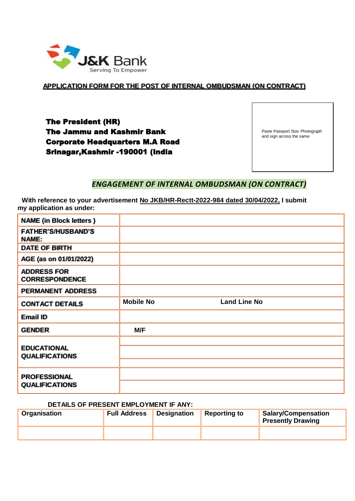

**APPLICATION FORM FOR THE POST OF INTERNAL OMBUDSMAN (ON CONTRACT)**

The President (HR) The Jammu and Kashmir Bank Corporate Headquarters M.A Road Srinagar,Kashmir -190001 (India

Paste Passport Size Photograph and sign across the same

## *ENGAGEMENT OF INTERNAL OMBUDSMAN (ON CONTRACT)*

**With reference to your advertisement No JKB/HR-Rectt-2022-984 dated 30/04/2022, I submit my application as under:**

| <b>NAME</b> (in Block letters)               |                  |                     |
|----------------------------------------------|------------------|---------------------|
| <b>FATHER'S/HUSBAND'S</b><br><b>NAME:</b>    |                  |                     |
| DATE OF BIRTH                                |                  |                     |
| AGE (as on 01/01/2022)                       |                  |                     |
| <b>ADDRESS FOR</b><br><b>CORRESPONDENCE</b>  |                  |                     |
| <b>PERMANENT ADDRESS</b>                     |                  |                     |
| <b>CONTACT DETAILS</b>                       | <b>Mobile No</b> | <b>Land Line No</b> |
| Email ID                                     |                  |                     |
| <b>GENDER</b>                                | M/F              |                     |
| <b>EDUCATIONAL</b><br><b>QUALIFICATIONS</b>  |                  |                     |
| <b>PROFESSIONAL</b><br><b>QUALIFICATIONS</b> |                  |                     |

#### **DETAILS OF PRESENT EMPLOYMENT IF ANY:**

| Organisation | <b>Full Address</b> | Designation | Reporting to | Salary/Compensation<br><b>Presently Drawing</b> |
|--------------|---------------------|-------------|--------------|-------------------------------------------------|
|              |                     |             |              |                                                 |